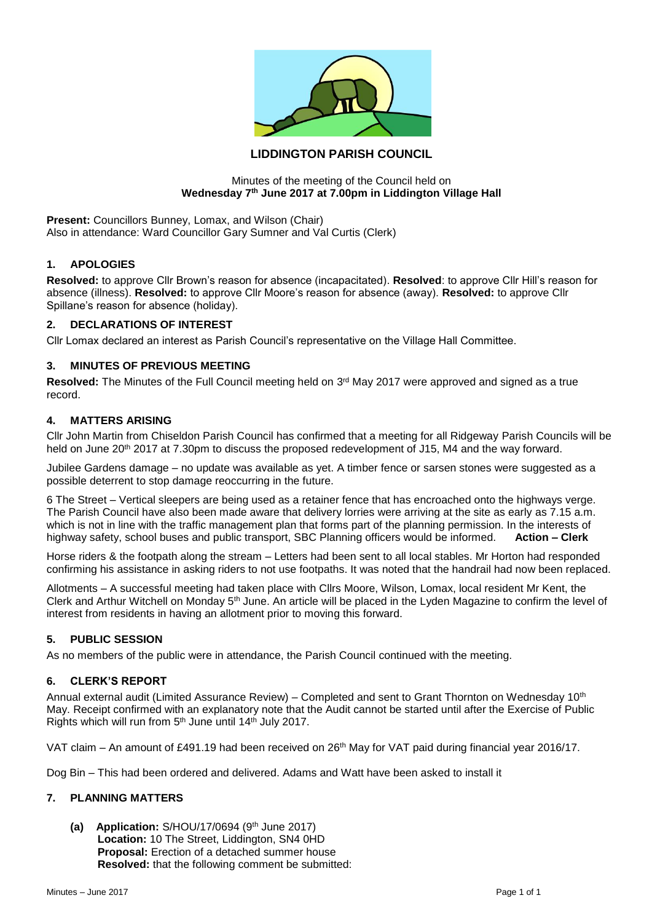

# **LIDDINGTON PARISH COUNCIL**

#### Minutes of the meeting of the Council held on **Wednesday 7th June 2017 at 7.00pm in Liddington Village Hall**

**Present:** Councillors Bunney, Lomax, and Wilson (Chair) Also in attendance: Ward Councillor Gary Sumner and Val Curtis (Clerk)

### **1. APOLOGIES**

**Resolved:** to approve Cllr Brown's reason for absence (incapacitated). **Resolved**: to approve Cllr Hill's reason for absence (illness). **Resolved:** to approve Cllr Moore's reason for absence (away). **Resolved:** to approve Cllr Spillane's reason for absence (holiday).

#### **2. DECLARATIONS OF INTEREST**

Cllr Lomax declared an interest as Parish Council's representative on the Village Hall Committee.

### **3. MINUTES OF PREVIOUS MEETING**

Resolved: The Minutes of the Full Council meeting held on 3<sup>rd</sup> May 2017 were approved and signed as a true record.

#### **4. MATTERS ARISING**

Cllr John Martin from Chiseldon Parish Council has confirmed that a meeting for all Ridgeway Parish Councils will be held on June 20<sup>th</sup> 2017 at 7.30pm to discuss the proposed redevelopment of J15, M4 and the way forward.

Jubilee Gardens damage – no update was available as yet. A timber fence or sarsen stones were suggested as a possible deterrent to stop damage reoccurring in the future.

6 The Street – Vertical sleepers are being used as a retainer fence that has encroached onto the highways verge. The Parish Council have also been made aware that delivery lorries were arriving at the site as early as 7.15 a.m. which is not in line with the traffic management plan that forms part of the planning permission. In the interests of highway safety, school buses and public transport, SBC Planning officers would be informed. **Action – Clerk**

Horse riders & the footpath along the stream – Letters had been sent to all local stables. Mr Horton had responded confirming his assistance in asking riders to not use footpaths. It was noted that the handrail had now been replaced.

Allotments – A successful meeting had taken place with Cllrs Moore, Wilson, Lomax, local resident Mr Kent, the Clerk and Arthur Witchell on Monday 5th June. An article will be placed in the Lyden Magazine to confirm the level of interest from residents in having an allotment prior to moving this forward.

### **5. PUBLIC SESSION**

As no members of the public were in attendance, the Parish Council continued with the meeting.

### **6. CLERK'S REPORT**

Annual external audit (Limited Assurance Review) – Completed and sent to Grant Thornton on Wednesday 10th May. Receipt confirmed with an explanatory note that the Audit cannot be started until after the Exercise of Public Rights which will run from 5<sup>th</sup> June until 14<sup>th</sup> July 2017.

VAT claim – An amount of £491.19 had been received on 26<sup>th</sup> May for VAT paid during financial year 2016/17.

Dog Bin – This had been ordered and delivered. Adams and Watt have been asked to install it

### **7. PLANNING MATTERS**

**(a) Application:** S/HOU/17/0694 (9th June 2017) **Location:** 10 The Street, Liddington, SN4 0HD **Proposal:** Erection of a detached summer house **Resolved:** that the following comment be submitted: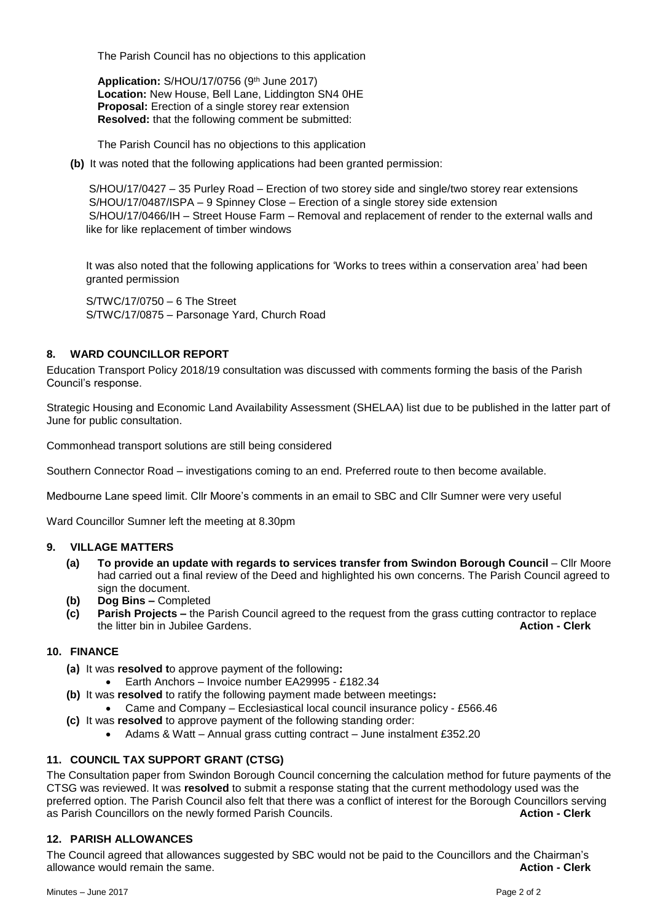The Parish Council has no objections to this application

**Application: S/HOU/17/0756 (9th June 2017) Location:** New House, Bell Lane, Liddington SN4 0HE **Proposal:** Erection of a single storey rear extension **Resolved:** that the following comment be submitted:

The Parish Council has no objections to this application

**(b)** It was noted that the following applications had been granted permission:

S/HOU/17/0427 – 35 Purley Road – Erection of two storey side and single/two storey rear extensions S/HOU/17/0487/ISPA – 9 Spinney Close – Erection of a single storey side extension S/HOU/17/0466/IH – Street House Farm – Removal and replacement of render to the external walls and like for like replacement of timber windows

It was also noted that the following applications for 'Works to trees within a conservation area' had been granted permission

S/TWC/17/0750 – 6 The Street S/TWC/17/0875 – Parsonage Yard, Church Road

# **8. WARD COUNCILLOR REPORT**

Education Transport Policy 2018/19 consultation was discussed with comments forming the basis of the Parish Council's response.

Strategic Housing and Economic Land Availability Assessment (SHELAA) list due to be published in the latter part of June for public consultation.

Commonhead transport solutions are still being considered

Southern Connector Road – investigations coming to an end. Preferred route to then become available.

Medbourne Lane speed limit. Cllr Moore's comments in an email to SBC and Cllr Sumner were very useful

Ward Councillor Sumner left the meeting at 8.30pm

### **9. VILLAGE MATTERS**

- **(a) To provide an update with regards to services transfer from Swindon Borough Council** Cllr Moore had carried out a final review of the Deed and highlighted his own concerns. The Parish Council agreed to sign the document.
- **(b) Dog Bins –** Completed
- **(c) Parish Projects –** the Parish Council agreed to the request from the grass cutting contractor to replace the litter bin in Jubilee Gardens. **Action - Clerk**

#### **10. FINANCE**

- **(a)** It was **resolved t**o approve payment of the following**:**
	- Earth Anchors Invoice number EA29995 £182.34
- **(b)** It was **resolved** to ratify the following payment made between meetings**:**
	- Came and Company Ecclesiastical local council insurance policy £566.46
- **(c)** It was **resolved** to approve payment of the following standing order:
	- Adams & Watt Annual grass cutting contract June instalment £352.20

# **11. COUNCIL TAX SUPPORT GRANT (CTSG)**

The Consultation paper from Swindon Borough Council concerning the calculation method for future payments of the CTSG was reviewed. It was **resolved** to submit a response stating that the current methodology used was the preferred option. The Parish Council also felt that there was a conflict of interest for the Borough Councillors serving<br>Action - Clerk Councillors on the newly formed Parish Councils. as Parish Councillors on the newly formed Parish Councils.

#### **12. PARISH ALLOWANCES**

The Council agreed that allowances suggested by SBC would not be paid to the Councillors and the Chairman's allowance would remain the same. **Action - Clerk**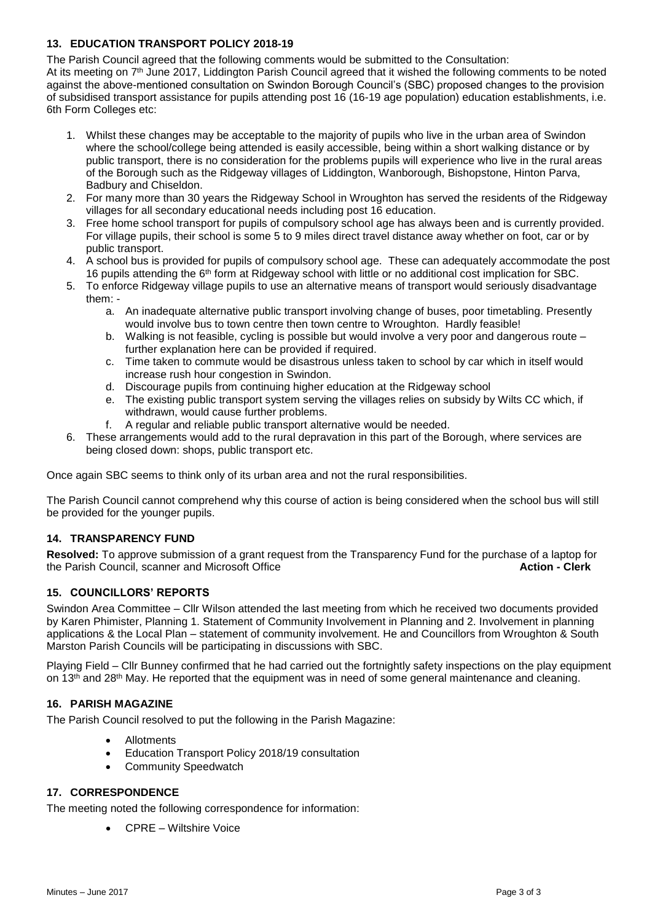# **13. EDUCATION TRANSPORT POLICY 2018-19**

The Parish Council agreed that the following comments would be submitted to the Consultation:

At its meeting on 7th June 2017, Liddington Parish Council agreed that it wished the following comments to be noted against the above-mentioned consultation on Swindon Borough Council's (SBC) proposed changes to the provision of subsidised transport assistance for pupils attending post 16 (16-19 age population) education establishments, i.e. 6th Form Colleges etc:

- 1. Whilst these changes may be acceptable to the majority of pupils who live in the urban area of Swindon where the school/college being attended is easily accessible, being within a short walking distance or by public transport, there is no consideration for the problems pupils will experience who live in the rural areas of the Borough such as the Ridgeway villages of Liddington, Wanborough, Bishopstone, Hinton Parva, Badbury and Chiseldon.
- 2. For many more than 30 years the Ridgeway School in Wroughton has served the residents of the Ridgeway villages for all secondary educational needs including post 16 education.
- 3. Free home school transport for pupils of compulsory school age has always been and is currently provided. For village pupils, their school is some 5 to 9 miles direct travel distance away whether on foot, car or by public transport.
- 4. A school bus is provided for pupils of compulsory school age. These can adequately accommodate the post 16 pupils attending the 6th form at Ridgeway school with little or no additional cost implication for SBC.
- 5. To enforce Ridgeway village pupils to use an alternative means of transport would seriously disadvantage them:
	- a. An inadequate alternative public transport involving change of buses, poor timetabling. Presently would involve bus to town centre then town centre to Wroughton. Hardly feasible!
	- b. Walking is not feasible, cycling is possible but would involve a very poor and dangerous route further explanation here can be provided if required.
	- c. Time taken to commute would be disastrous unless taken to school by car which in itself would increase rush hour congestion in Swindon.
	- d. Discourage pupils from continuing higher education at the Ridgeway school
	- e. The existing public transport system serving the villages relies on subsidy by Wilts CC which, if withdrawn, would cause further problems.
	- f. A regular and reliable public transport alternative would be needed.
- 6. These arrangements would add to the rural depravation in this part of the Borough, where services are being closed down: shops, public transport etc.

Once again SBC seems to think only of its urban area and not the rural responsibilities.

The Parish Council cannot comprehend why this course of action is being considered when the school bus will still be provided for the younger pupils.

### **14. TRANSPARENCY FUND**

**Resolved:** To approve submission of a grant request from the Transparency Fund for the purchase of a laptop for the Parish Council, scanner and Microsoft Office **Action - Clerk**

### **15. COUNCILLORS' REPORTS**

Swindon Area Committee – Cllr Wilson attended the last meeting from which he received two documents provided by Karen Phimister, Planning 1. Statement of Community Involvement in Planning and 2. Involvement in planning applications & the Local Plan – statement of community involvement. He and Councillors from Wroughton & South Marston Parish Councils will be participating in discussions with SBC.

Playing Field – Cllr Bunney confirmed that he had carried out the fortnightly safety inspections on the play equipment on 13<sup>th</sup> and 28<sup>th</sup> May. He reported that the equipment was in need of some general maintenance and cleaning.

### **16. PARISH MAGAZINE**

The Parish Council resolved to put the following in the Parish Magazine:

- Allotments
- Education Transport Policy 2018/19 consultation
- Community Speedwatch

### **17. CORRESPONDENCE**

The meeting noted the following correspondence for information:

• CPRE – Wiltshire Voice